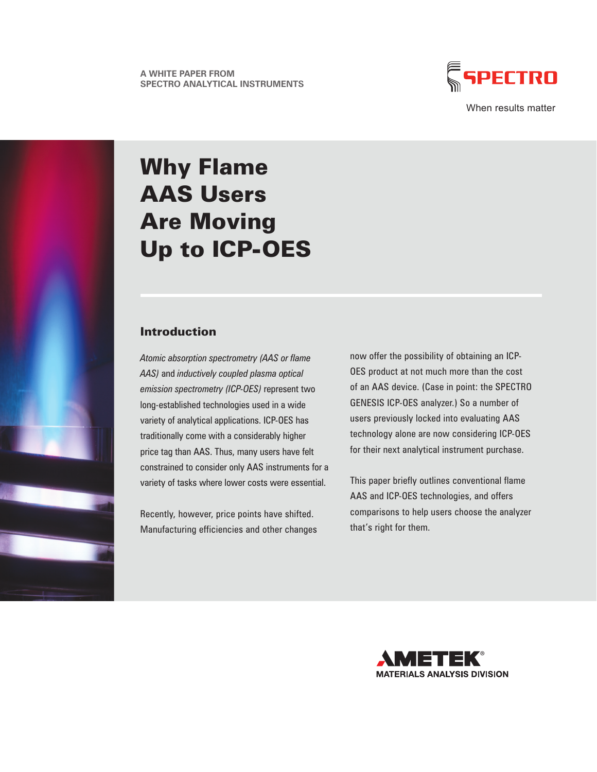

When results matter

# Why Flame AAS Users Are Moving Up to ICP-OES

### Introduction

*Atomic absorption spectrometry (AAS or flame AAS)* and *inductively coupled plasma optical emission spectrometry (ICP-OES)* represent two long-established technologies used in a wide variety of analytical applications. ICP-OES has traditionally come with a considerably higher price tag than AAS. Thus, many users have felt constrained to consider only AAS instruments for a variety of tasks where lower costs were essential.

Recently, however, price points have shifted. Manufacturing efficiencies and other changes now offer the possibility of obtaining an ICP-OES product at not much more than the cost of an AAS device. (Case in point: the SPECTRO GENESIS ICP-OES analyzer.) So a number of users previously locked into evaluating AAS technology alone are now considering ICP-OES for their next analytical instrument purchase.

This paper briefly outlines conventional flame AAS and ICP-OES technologies, and offers comparisons to help users choose the analyzer that's right for them.

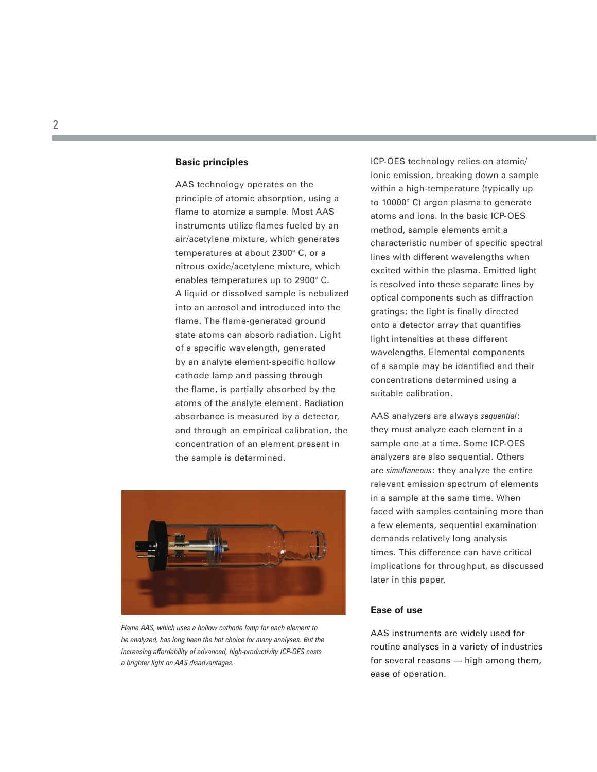#### **Basic principles**

AAS technology operates on the principle of atomic absorption, using a flame to atomize a sample. Most AAS instruments utilize flames fueled by an air/acetylene mixture, which generates temperatures at about 2300° C, or a nitrous oxide/acetylene mixture, which enables temperatures up to 2900° C. A liquid or dissolved sample is nebulized into an aerosol and introduced into the flame. The flame-generated ground state atoms can absorb radiation. Light of a specific wavelength, generated by an analyte element-specific hollow cathode lamp and passing through the flame, is partially absorbed by the atoms of the analyte element. Radiation absorbance is measured by a detector, and through an empirical calibration, the concentration of an element present in the sample is determined.



*Flame AAS, which uses a hollow cathode lamp for each element to be analyzed, has long been the hot choice for many analyses. But the increasing affordability of advanced, high-productivity ICP-OES casts a brighter light on AAS disadvantages.*

ICP-OES technology relies on atomic/ ionic emission, breaking down a sample within a high-temperature (typically up to 10000° C) argon plasma to generate atoms and ions. In the basic ICP-OES method, sample elements emit a characteristic number of specific spectral lines with different wavelengths when excited within the plasma. Emitted light is resolved into these separate lines by optical components such as diffraction gratings; the light is finally directed onto a detector array that quantifies light intensities at these different wavelengths. Elemental components of a sample may be identified and their concentrations determined using a suitable calibration.

AAS analyzers are always *sequential*: they must analyze each element in a sample one at a time. Some ICP-OES analyzers are also sequential. Others are *simultaneous*: they analyze the entire relevant emission spectrum of elements in a sample at the same time. When faced with samples containing more than a few elements, sequential examination demands relatively long analysis times. This difference can have critical implications for throughput, as discussed later in this paper.

#### **Ease of use**

AAS instruments are widely used for routine analyses in a variety of industries for several reasons — high among them, ease of operation.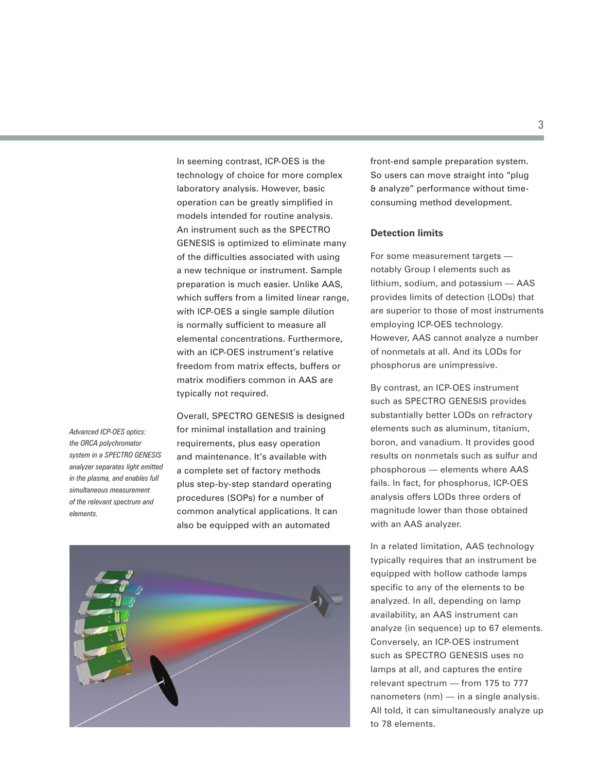In seeming contrast, ICP-OES is the technology of choice for more complex laboratory analysis. However, basic operation can be greatly simplified in models intended for routine analysis. An instrument such as the SPECTRO GENESIS is optimized to eliminate many of the difficulties associated with using a new technique or instrument. Sample preparation is much easier. Unlike AAS, which suffers from a limited linear range, with ICP-OES a single sample dilution is normally sufficient to measure all elemental concentrations. Furthermore, with an ICP-OES instrument's relative freedom from matrix effects, buffers or matrix modifiers common in AAS are typically not required.

*Advanced ICP-OES optics: the ORCA polychromator system in a SPECTRO GENESIS analyzer separates light emitted in the plasma, and enables full simultaneous measurement of the relevant spectrum and elements.* 

Overall, SPECTRO GENESIS is designed for minimal installation and training requirements, plus easy operation and maintenance. It's available with a complete set of factory methods plus step-by-step standard operating procedures (SOPs) for a number of common analytical applications. It can also be equipped with an automated



front-end sample preparation system. So users can move straight into "plug & analyze" performance without timeconsuming method development.

#### **Detection limits**

For some measurement targets notably Group I elements such as lithium, sodium, and potassium — AAS provides limits of detection (LODs) that are superior to those of most instruments employing ICP-OES technology. However, AAS cannot analyze a number of nonmetals at all. And its LODs for phosphorus are unimpressive.

By contrast, an ICP-OES instrument such as SPECTRO GENESIS provides substantially better LODs on refractory elements such as aluminum, titanium, boron, and vanadium. It provides good results on nonmetals such as sulfur and phosphorous — elements where AAS fails. In fact, for phosphorus, ICP-OES analysis offers LODs three orders of magnitude lower than those obtained with an AAS analyzer.

In a related limitation, AAS technology typically requires that an instrument be equipped with hollow cathode lamps specific to any of the elements to be analyzed. In all, depending on lamp availability, an AAS instrument can analyze (in sequence) up to 67 elements. Conversely, an ICP-OES instrument such as SPECTRO GENESIS uses no lamps at all, and captures the entire relevant spectrum — from 175 to 777 nanometers (nm) — in a single analysis. All told, it can simultaneously analyze up to 78 elements.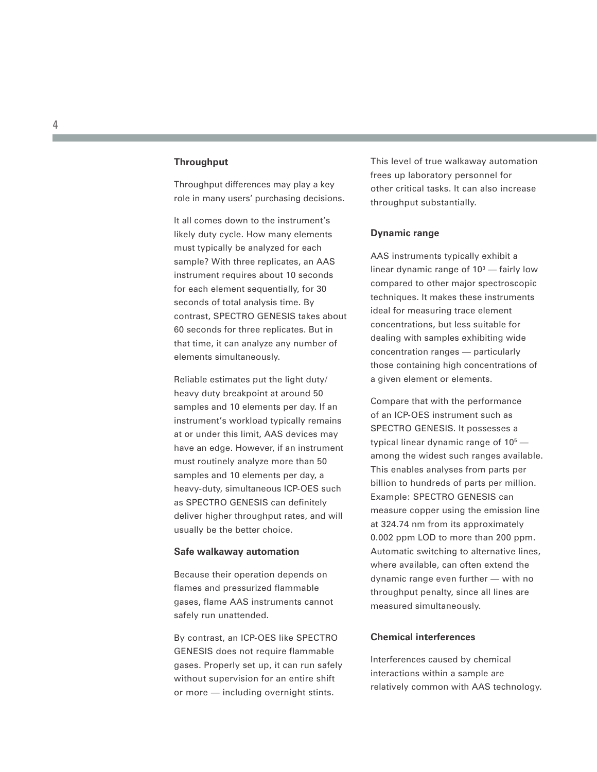#### **Throughput**

Throughput differences may play a key role in many users' purchasing decisions.

It all comes down to the instrument's likely duty cycle. How many elements must typically be analyzed for each sample? With three replicates, an AAS instrument requires about 10 seconds for each element sequentially, for 30 seconds of total analysis time. By contrast, SPECTRO GENESIS takes about 60 seconds for three replicates. But in that time, it can analyze any number of elements simultaneously.

Reliable estimates put the light duty/ heavy duty breakpoint at around 50 samples and 10 elements per day. If an instrument's workload typically remains at or under this limit, AAS devices may have an edge. However, if an instrument must routinely analyze more than 50 samples and 10 elements per day, a heavy-duty, simultaneous ICP-OES such as SPECTRO GENESIS can definitely deliver higher throughput rates, and will usually be the better choice.

#### **Safe walkaway automation**

Because their operation depends on flames and pressurized flammable gases, flame AAS instruments cannot safely run unattended.

By contrast, an ICP-OES like SPECTRO GENESIS does not require flammable gases. Properly set up, it can run safely without supervision for an entire shift or more — including overnight stints.

This level of true walkaway automation frees up laboratory personnel for other critical tasks. It can also increase throughput substantially.

#### **Dynamic range**

AAS instruments typically exhibit a linear dynamic range of 10 3 — fairly low compared to other major spectroscopic techniques. It makes these instruments ideal for measuring trace element concentrations, but less suitable for dealing with samples exhibiting wide concentration ranges — particularly those containing high concentrations of a given element or elements.

Compare that with the performance of an ICP-OES instrument such as SPECTRO GENESIS. It possesses a typical linear dynamic range of  $10<sup>5</sup>$  among the widest such ranges available. This enables analyses from parts per billion to hundreds of parts per million. Example: SPECTRO GENESIS can measure copper using the emission line at 324.74 nm from its approximately 0.002 ppm LOD to more than 200 ppm. Automatic switching to alternative lines, where available, can often extend the dynamic range even further — with no throughput penalty, since all lines are measured simultaneously.

#### **Chemical interferences**

Interferences caused by chemical interactions within a sample are relatively common with AAS technology.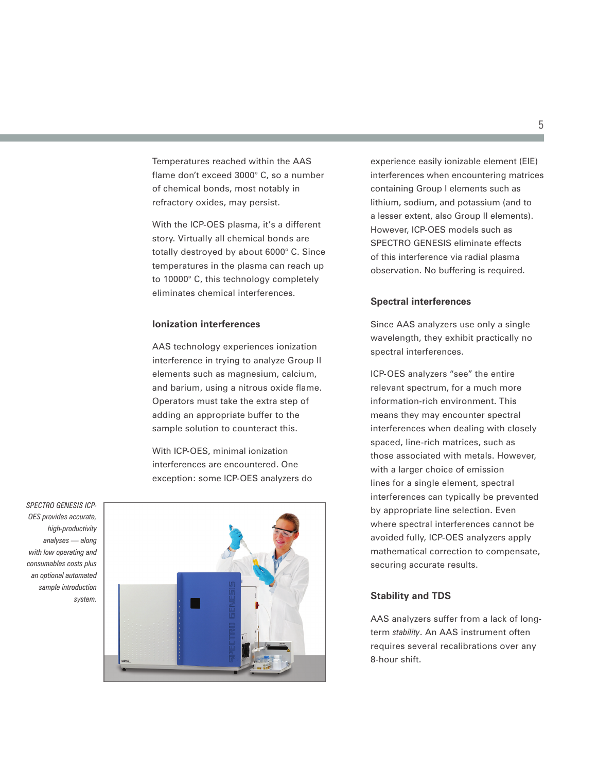Temperatures reached within the AAS flame don't exceed 3000° C, so a number of chemical bonds, most notably in refractory oxides, may persist.

With the ICP-OES plasma, it's a different story. Virtually all chemical bonds are totally destroyed by about 6000° C. Since temperatures in the plasma can reach up to 10000° C, this technology completely eliminates chemical interferences.

#### **Ionization interferences**

AAS technology experiences ionization interference in trying to analyze Group II elements such as magnesium, calcium, and barium, using a nitrous oxide flame. Operators must take the extra step of adding an appropriate buffer to the sample solution to counteract this.

With ICP-OES, minimal ionization interferences are encountered. One exception: some ICP-OES analyzers do

*SPECTRO GENESIS ICP-OES provides accurate, high-productivity analyses — along with low operating and consumables costs plus an optional automated sample introduction system.*



experience easily ionizable element (EIE) interferences when encountering matrices containing Group I elements such as lithium, sodium, and potassium (and to a lesser extent, also Group II elements). However, ICP-OES models such as SPECTRO GENESIS eliminate effects of this interference via radial plasma observation. No buffering is required.

#### **Spectral interferences**

Since AAS analyzers use only a single wavelength, they exhibit practically no spectral interferences.

ICP-OES analyzers "see" the entire relevant spectrum, for a much more information-rich environment. This means they may encounter spectral interferences when dealing with closely spaced, line-rich matrices, such as those associated with metals. However, with a larger choice of emission lines for a single element, spectral interferences can typically be prevented by appropriate line selection. Even where spectral interferences cannot be avoided fully, ICP-OES analyzers apply mathematical correction to compensate, securing accurate results.

#### **Stability and TDS**

AAS analyzers suffer from a lack of longterm *stability*. An AAS instrument often requires several recalibrations over any 8-hour shift.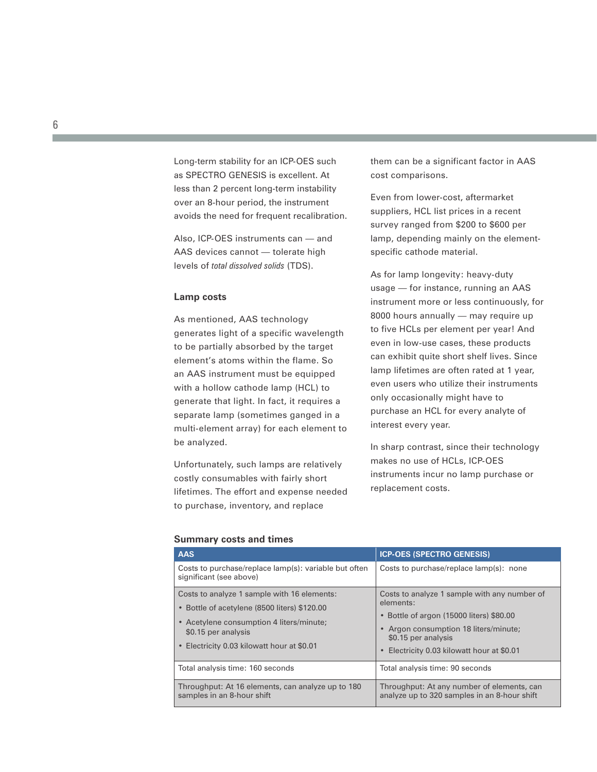Long-term stability for an ICP-OES such as SPECTRO GENESIS is excellent. At less than 2 percent long-term instability over an 8-hour period, the instrument avoids the need for frequent recalibration.

Also, ICP-OES instruments can — and AAS devices cannot — tolerate high levels of *total dissolved solids* (TDS).

#### **Lamp costs**

As mentioned, AAS technology generates light of a specific wavelength to be partially absorbed by the target element's atoms within the flame. So an AAS instrument must be equipped with a hollow cathode lamp (HCL) to generate that light. In fact, it requires a separate lamp (sometimes ganged in a multi-element array) for each element to be analyzed.

Unfortunately, such lamps are relatively costly consumables with fairly short lifetimes. The effort and expense needed to purchase, inventory, and replace

them can be a significant factor in AAS cost comparisons.

Even from lower-cost, aftermarket suppliers, HCL list prices in a recent survey ranged from \$200 to \$600 per lamp, depending mainly on the elementspecific cathode material.

As for lamp longevity: heavy-duty usage — for instance, running an AAS instrument more or less continuously, for 8000 hours annually — may require up to five HCLs per element per year! And even in low-use cases, these products can exhibit quite short shelf lives. Since lamp lifetimes are often rated at 1 year, even users who utilize their instruments only occasionally might have to purchase an HCL for every analyte of interest every year.

In sharp contrast, since their technology makes no use of HCLs, ICP-OES instruments incur no lamp purchase or replacement costs.

| <b>AAS</b>                                                                                                                                                                                                   | <b>ICP-OES (SPECTRO GENESIS)</b>                                                                                                                                                                                               |
|--------------------------------------------------------------------------------------------------------------------------------------------------------------------------------------------------------------|--------------------------------------------------------------------------------------------------------------------------------------------------------------------------------------------------------------------------------|
| Costs to purchase/replace lamp(s): variable but often<br>significant (see above)                                                                                                                             | Costs to purchase/replace lamp(s): none                                                                                                                                                                                        |
| Costs to analyze 1 sample with 16 elements:<br>• Bottle of acetylene (8500 liters) \$120.00<br>• Acetylene consumption 4 liters/minute;<br>\$0.15 per analysis<br>• Electricity 0.03 kilowatt hour at \$0.01 | Costs to analyze 1 sample with any number of<br>elements:<br>• Bottle of argon (15000 liters) \$80.00<br>• Argon consumption 18 liters/minute;<br>\$0.15 per analysis<br>Electricity 0.03 kilowatt hour at \$0.01<br>$\bullet$ |
| Total analysis time: 160 seconds                                                                                                                                                                             | Total analysis time: 90 seconds                                                                                                                                                                                                |
| Throughput: At 16 elements, can analyze up to 180<br>samples in an 8-hour shift                                                                                                                              | Throughput: At any number of elements, can<br>analyze up to 320 samples in an 8-hour shift                                                                                                                                     |

#### **Summary costs and times**